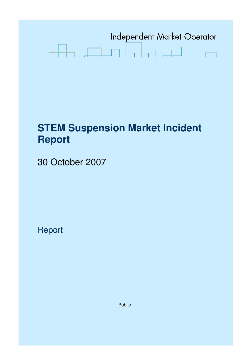

# **STEM Suspension Market Incident Report**

30 October 2007

Report

Public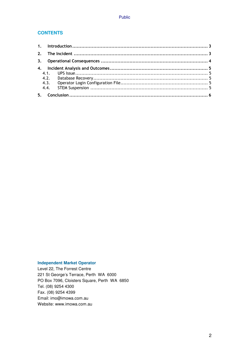#### **CONTENTS**

| 4.3. |  |
|------|--|
|      |  |
|      |  |

#### **Independent Market Operator**

Level 22, The Forrest Centre 221 St George's Terrace, Perth WA 6000 PO Box 7096, Cloisters Square, Perth WA 6850 Tel. (08) 9254 4300 Fax. (08) 9254 4399 Email: imo@imowa.com.au Website: www.imowa.com.au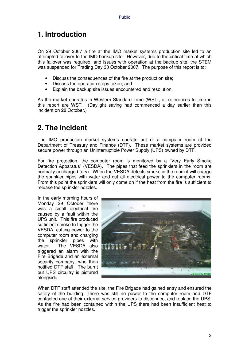# **1. Introduction**

On 29 October 2007 a fire at the IMO market systems production site led to an attempted failover to the IMO backup site. However, due to the critical time at which this failover was required, and issues with operation at the backup site, the STEM was suspended for Trading Day 30 October 2007. The purpose of this report is to:

- Discuss the consequences of the fire at the production site;
- Discuss the operation steps taken; and
- Explain the backup site issues encountered and resolution.

As the market operates in Western Standard Time (WST), all references to time in this report are WST. (Daylight saving had commenced a day earlier than this incident on 28 October.)

# **2. The Incident**

The IMO production market systems operate out of a computer room at the Department of Treasury and Finance (DTF). These market systems are provided secure power through an Uninterruptible Power Supply (UPS) owned by DTF.

For fire protection, the computer room is monitored by a "Very Early Smoke Detection Apparatus" (VESDA). The pipes that feed the sprinklers in the room are normally uncharged (dry). When the VESDA detects smoke in the room it will charge the sprinkler pipes with water and cut all electrical power to the computer rooms. From this point the sprinklers will only come on if the heat from the fire is sufficient to release the sprinkler nozzles.

In the early morning hours of Monday 29 October there was a small electrical fire caused by a fault within the UPS unit. This fire produced sufficient smoke to trigger the VESDA, cutting power to the computer room and charging the sprinkler pipes with water. The VESDA also triggered an alarm with the Fire Brigade and an external security company, who then notified DTF staff. The burnt out UPS circuitry is pictured alongside.



When DTF staff attended the site, the Fire Brigade had gained entry and ensured the safety of the building. There was still no power to the computer room and DTF contacted one of their external service providers to disconnect and replace the UPS. As the fire had been contained within the UPS there had been insufficient heat to trigger the sprinkler nozzles.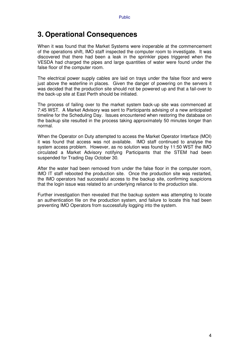### **3. Operational Consequences**

When it was found that the Market Systems were inoperable at the commencement of the operations shift, IMO staff inspected the computer room to investigate. It was discovered that there had been a leak in the sprinkler pipes triggered when the VESDA had charged the pipes and large quantities of water were found under the false floor of the computer room.

The electrical power supply cables are laid on trays under the false floor and were just above the waterline in places. Given the danger of powering on the servers it was decided that the production site should not be powered up and that a fail-over to the back-up site at East Perth should be initiated.

The process of failing over to the market system back-up site was commenced at 7:45 WST. A Market Advisory was sent to Participants advising of a new anticipated timeline for the Scheduling Day. Issues encountered when restoring the database on the backup site resulted in the process taking approximately 50 minutes longer than normal.

When the Operator on Duty attempted to access the Market Operator Interface (MOI) it was found that access was not available. IMO staff continued to analyse the system access problem. However, as no solution was found by 11:50 WST the IMO circulated a Market Advisory notifying Participants that the STEM had been suspended for Trading Day October 30.

After the water had been removed from under the false floor in the computer room, IMO IT staff rebooted the production site. Once the production site was restarted, the IMO operators had successful access to the backup site, confirming suspicions that the login issue was related to an underlying reliance to the production site.

Further investigation then revealed that the backup system was attempting to locate an authentication file on the production system, and failure to locate this had been preventing IMO Operators from successfully logging into the system.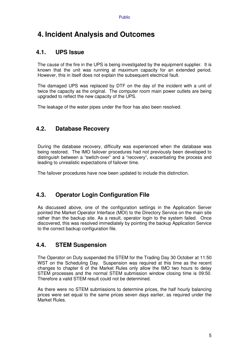# **4. Incident Analysis and Outcomes**

#### **4.1. UPS Issue**

The cause of the fire in the UPS is being investigated by the equipment supplier. It is known that the unit was running at maximum capacity for an extended period. However, this in itself does not explain the subsequent electrical fault.

The damaged UPS was replaced by DTF on the day of the incident with a unit of twice the capacity as the original. The computer room main power outlets are being upgraded to reflect the new capacity of the UPS.

The leakage of the water pipes under the floor has also been resolved.

#### **4.2. Database Recovery**

During the database recovery, difficulty was experienced when the database was being restored. The IMO failover procedures had not previously been developed to distinguish between a "switch-over" and a "recovery", exacerbating the process and leading to unrealistic expectations of failover time.

The failover procedures have now been updated to include this distinction.

### **4.3. Operator Login Configuration File**

As discussed above, one of the configuration settings in the Application Server pointed the Market Operator Interface (MOI) to the Directory Service on the main site rather than the backup site. As a result, operator login to the system failed. Once discovered, this was resolved immediately by pointing the backup Application Service to the correct backup configuration file.

#### **4.4. STEM Suspension**

The Operator on Duty suspended the STEM for the Trading Day 30 October at 11:50 WST on the Scheduling Day. Suspension was required at this time as the recent changes to chapter 6 of the Market Rules only allow the IMO two hours to delay STEM processes and the normal STEM submission window closing time is 09:50. Therefore a valid STEM result could not be determined.

As there were no STEM submissions to determine prices, the half hourly balancing prices were set equal to the same prices seven days earlier, as required under the Market Rules.